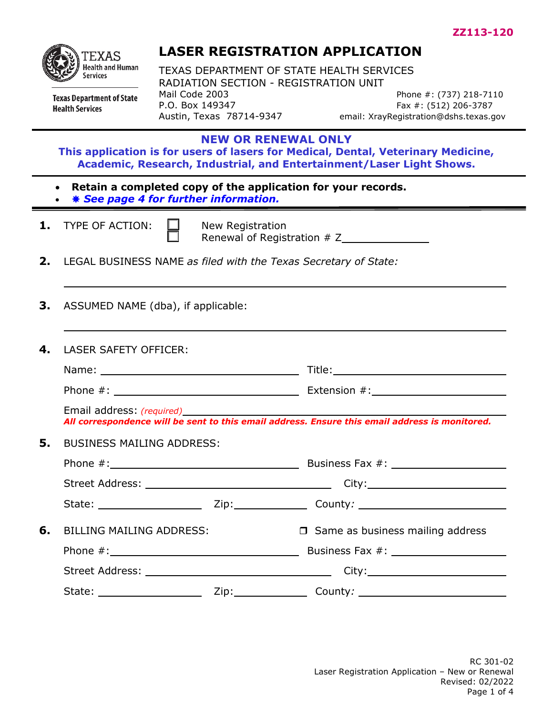

#### **Texas Department of State Health Services**

# **LASER REGISTRATION APPLICATION**

TEXAS DEPARTMENT OF STATE HEALTH SERVICES RADIATION SECTION - REGISTRATION UNIT Mail Code 2003 **Phone #: (737) 218-7110** P.O. Box 149347<br>Austin, Texas 78714-9347 email: XrayRegistration@dshs.texas.c

email: XrayRegistration@dshs.texas.gov

#### **NEW OR RENEWAL ONLY**

**This application is for users of lasers for Medical, Dental, Veterinary Medicine, Academic, Research, Industrial, and Entertainment/Laser Light Shows.** 

- **Retain a completed copy of the application for your records.**
- *See page 4 for further information.*
- **1.** TYPE OF ACTION:  $\Box$  New Registration

Renewal of Registration # Z

- **2.** LEGAL BUSINESS NAME *as filed with the Texas Secretary of State:*
- **3.** ASSUMED NAME (dba), if applicable:

| 4. | <b>LASER SAFETY OFFICER:</b>     |  |                                                                                                                             |
|----|----------------------------------|--|-----------------------------------------------------------------------------------------------------------------------------|
|    |                                  |  |                                                                                                                             |
|    |                                  |  |                                                                                                                             |
|    |                                  |  | Email address: (required)<br>All correspondence will be sent to this email address. Ensure this email address is monitored. |
| 5. | <b>BUSINESS MAILING ADDRESS:</b> |  |                                                                                                                             |
|    |                                  |  |                                                                                                                             |
|    |                                  |  |                                                                                                                             |
|    |                                  |  |                                                                                                                             |
| 6. | <b>BILLING MAILING ADDRESS:</b>  |  | $\Box$ Same as business mailing address                                                                                     |
|    |                                  |  |                                                                                                                             |
|    |                                  |  |                                                                                                                             |
|    |                                  |  | State: Zip: Zip: County: County:                                                                                            |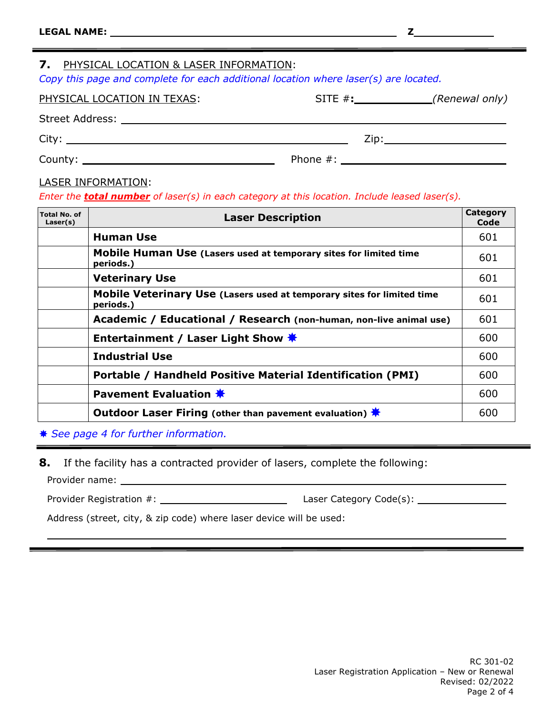#### **7.** PHYSICAL LOCATION & LASER INFORMATION:

*Copy this page and complete for each additional location where laser(s) are located.*

| PHYSICAL LOCATION IN TEXAS: | SITE $#$ : | (Renewal only) |  |
|-----------------------------|------------|----------------|--|
|                             |            |                |  |

| <b>Street Address:</b> |   |  |
|------------------------|---|--|
| $C1$ $C2$<br>ᄓ         | . |  |

County: Phone #:

#### LASER INFORMATION:

#### *Enter the total number of laser(s) in each category at this location. Include leased laser(s).*

| <b>Total No. of</b><br>Laser(s) | <b>Laser Description</b>                                                            | <b>Category</b><br>Code |
|---------------------------------|-------------------------------------------------------------------------------------|-------------------------|
|                                 | <b>Human Use</b>                                                                    | 601                     |
|                                 | Mobile Human Use (Lasers used at temporary sites for limited time<br>periods.)      | 601                     |
|                                 | <b>Veterinary Use</b>                                                               | 601                     |
|                                 | Mobile Veterinary Use (Lasers used at temporary sites for limited time<br>periods.) | 601                     |
|                                 | Academic / Educational / Research (non-human, non-live animal use)                  | 601                     |
|                                 | Entertainment / Laser Light Show <del>★</del>                                       | 600                     |
|                                 | <b>Industrial Use</b>                                                               | 600                     |
|                                 | Portable / Handheld Positive Material Identification (PMI)                          | 600                     |
|                                 | Pavement Evaluation *                                                               | 600                     |
|                                 | Outdoor Laser Firing (other than pavement evaluation) $*$                           | 600                     |

*See page 4 for further information.*

**8.** If the facility has a contracted provider of lasers, complete the following:

Provider name:

Provider Registration #: Laser Category Code(s):

Address (street, city, & zip code) where laser device will be used: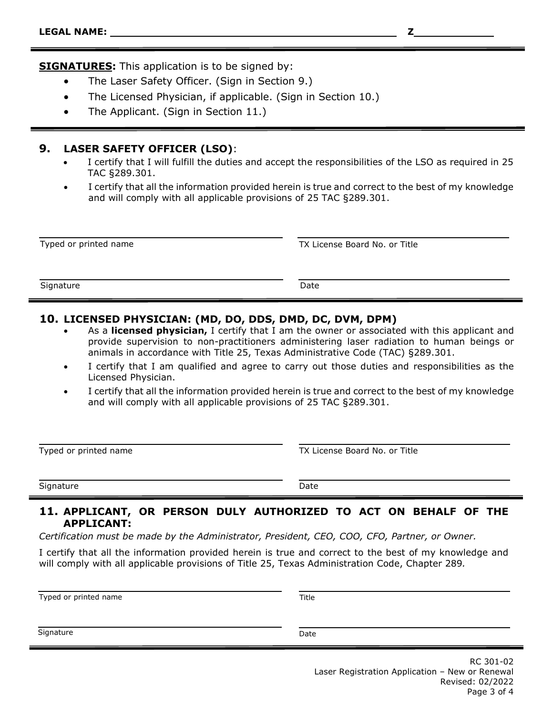**SIGNATURES:** This application is to be signed by:

- The Laser Safety Officer. (Sign in Section 9.)
- The Licensed Physician, if applicable. (Sign in Section 10.)
- The Applicant. (Sign in Section 11.)

#### **9. LASER SAFETY OFFICER (LSO)**:

- I certify that I will fulfill the duties and accept the responsibilities of the LSO as required in 25 TAC §289.301.
- I certify that all the information provided herein is true and correct to the best of my knowledge and will comply with all applicable provisions of 25 TAC §289.301.

| Typed or printed name | TX License Board No. or Title |  |
|-----------------------|-------------------------------|--|
| Signature             | Date                          |  |
|                       |                               |  |

#### **10. LICENSED PHYSICIAN: (MD, DO, DDS, DMD, DC, DVM, DPM)**

- As a **licensed physician,** I certify that I am the owner or associated with this applicant and provide supervision to non-practitioners administering laser radiation to human beings or animals in accordance with Title 25, Texas Administrative Code (TAC) §289.301.
- I certify that I am qualified and agree to carry out those duties and responsibilities as the Licensed Physician.
- I certify that all the information provided herein is true and correct to the best of my knowledge and will comply with all applicable provisions of 25 TAC §289.301.

Typed or printed name TX License Board No. or Title

Signature Date Date Date Date Date

#### **11. APPLICANT, OR PERSON DULY AUTHORIZED TO ACT ON BEHALF OF THE APPLICANT:**

*Certification must be made by the Administrator, President, CEO, COO, CFO, Partner, or Owner.*

I certify that all the information provided herein is true and correct to the best of my knowledge and will comply with all applicable provisions of Title 25, Texas Administration Code, Chapter 289*.*

Typed or printed name Title

Signature Date **Date**